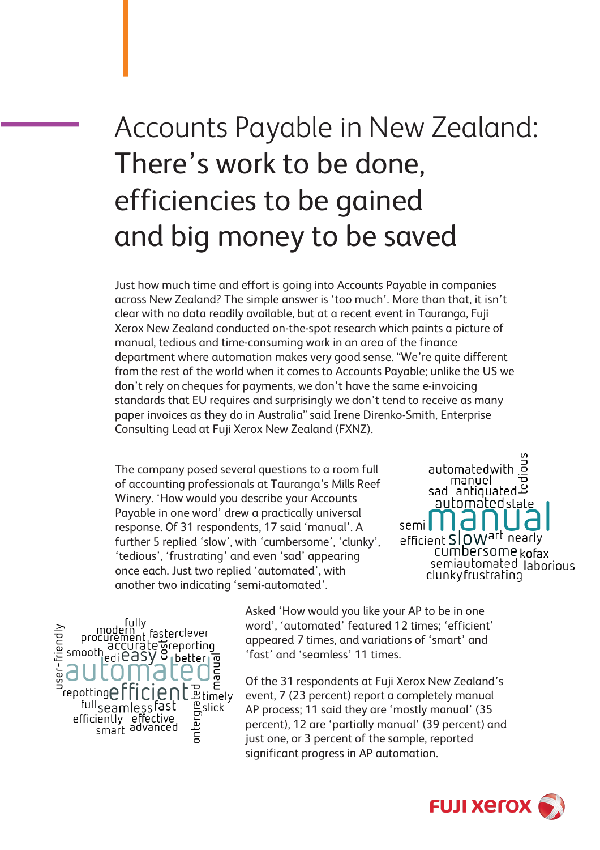# Accounts Payable in New Zealand: There's work to be done, efficiencies to be gained and big money to be saved

Just how much time and effort is going into Accounts Payable in companies across New Zealand? The simple answer is 'too much'. More than that, it isn't clear with no data readily available, but at a recent event in Tauranga, Fuji Xerox New Zealand conducted on-the-spot research which paints a picture of manual, tedious and time-consuming work in an area of the finance department where automation makes very good sense. "We're quite different from the rest of the world when it comes to Accounts Payable; unlike the US we don't rely on cheques for payments, we don't have the same e-invoicing standards that EU requires and surprisingly we don't tend to receive as many paper invoices as they do in Australia" said Irene Direnko-Smith, Enterprise Consulting Lead at Fuji Xerox New Zealand (FXNZ).

The company posed several questions to a room full of accounting professionals at Tauranga's Mills Reef Winery. 'How would you describe your Accounts Payable in one word' drew a practically universal response. Of 31 respondents, 17 said 'manual'. A further 5 replied 'slow', with 'cumbersome', 'clunky', 'tedious', 'frustrating' and even 'sad' appearing once each. Just two replied 'automated', with another two indicating 'semi-automated'.



fully<br>procurement fasterclever<br>procurement fasterclever<br>pooth edi easy of better ser-friendl smooth manual **Product**<br>Brimely<br>Bright<br>Bridge repotting <sup>full</sup>seamlessfast efficiently effective<br>smart advanced

Asked 'How would you like your AP to be in one word', 'automated' featured 12 times; 'efficient' appeared 7 times, and variations of 'smart' and 'fast' and 'seamless' 11 times.

Of the 31 respondents at Fuji Xerox New Zealand's event, 7 (23 percent) report a completely manual AP process; 11 said they are 'mostly manual' (35 percent), 12 are 'partially manual' (39 percent) and just one, or 3 percent of the sample, reported significant progress in AP automation.

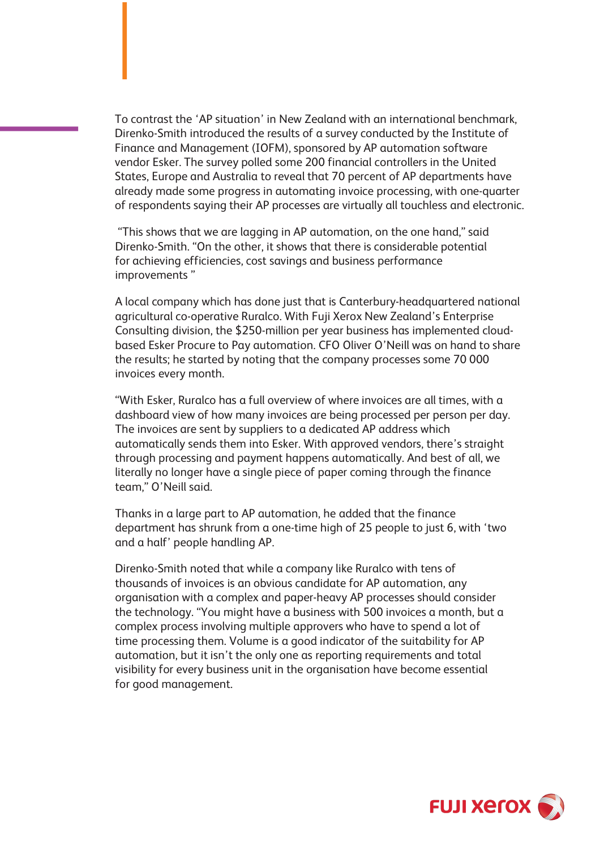To contrast the 'AP situation' in New Zealand with an international benchmark, Direnko-Smith introduced the results of a survey conducted by the Institute of Finance and Management (IOFM), sponsored by AP automation software vendor Esker. The survey polled some 200 financial controllers in the United States, Europe and Australia to reveal that 70 percent of AP departments have already made some progress in automating invoice processing, with one-quarter of respondents saying their AP processes are virtually all touchless and electronic.

"This shows that we are lagging in AP automation, on the one hand," said Direnko-Smith. "On the other, it shows that there is considerable potential for achieving efficiencies, cost savings and business performance improvements "

A local company which has done just that is Canterbury-headquartered national agricultural co-operative Ruralco. With Fuji Xerox New Zealand's Enterprise Consulting division, the \$250-million per year business has implemented cloudbased Esker Procure to Pay automation. CFO Oliver O'Neill was on hand to share the results; he started by noting that the company processes some 70 000 invoices every month.

"With Esker, Ruralco has a full overview of where invoices are all times, with a dashboard view of how many invoices are being processed per person per day. The invoices are sent by suppliers to a dedicated AP address which automatically sends them into Esker. With approved vendors, there's straight through processing and payment happens automatically. And best of all, we literally no longer have a single piece of paper coming through the finance team," O'Neill said.

Thanks in a large part to AP automation, he added that the finance department has shrunk from a one-time high of 25 people to just 6, with 'two and a half' people handling AP.

Direnko-Smith noted that while a company like Ruralco with tens of thousands of invoices is an obvious candidate for AP automation, any organisation with a complex and paper-heavy AP processes should consider the technology. "You might have a business with 500 invoices a month, but a complex process involving multiple approvers who have to spend a lot of time processing them. Volume is a good indicator of the suitability for AP automation, but it isn't the only one as reporting requirements and total visibility for every business unit in the organisation have become essential for good management.

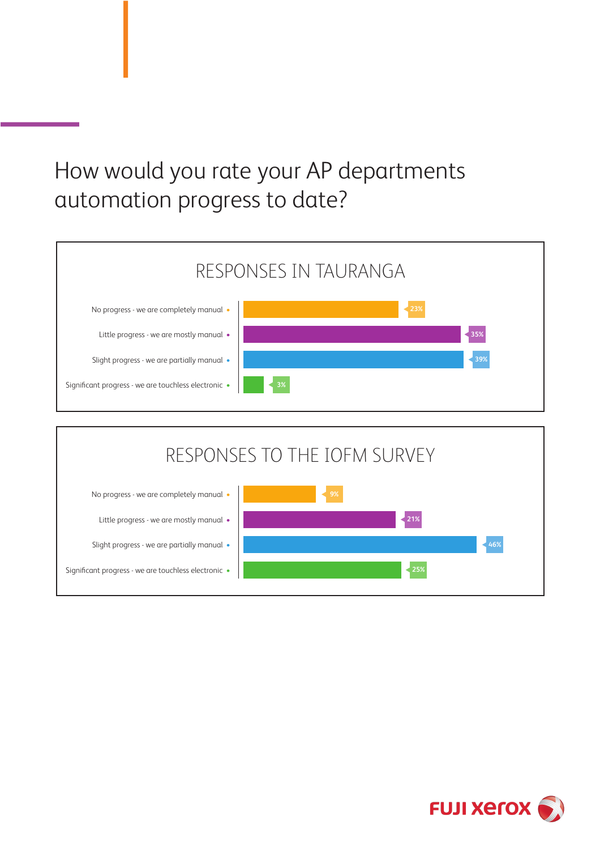## How would you rate your AP departments automation progress to date?





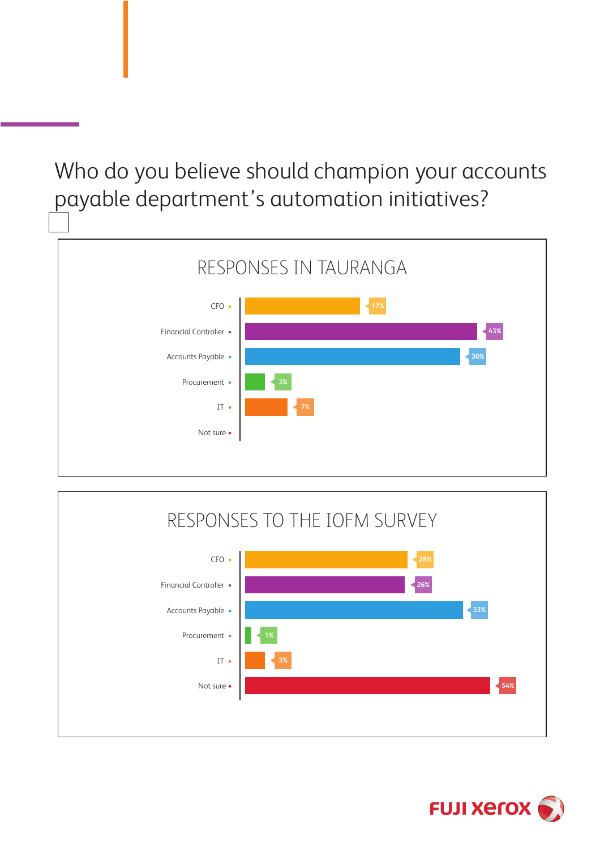Who do you believe should champion your accounts payable department's automation initiatives?





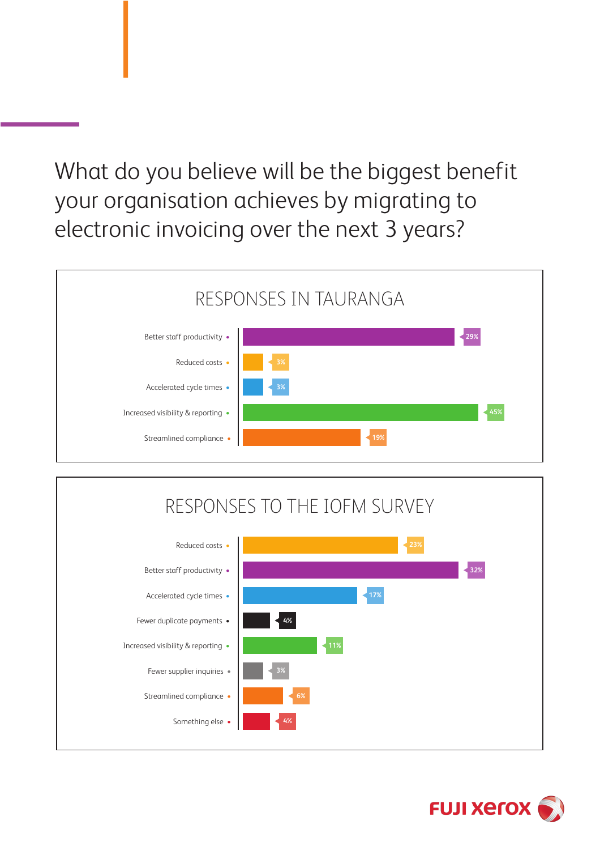What do you believe will be the biggest benefit your organisation achieves by migrating to electronic invoicing over the next 3 years?

#### Better staff productivity • Reduced costs • Accelerated cycle times • Increased visibility & reporting • Streamlined compliance • RESPONSES IN TAURANGA **29% 3% 45%**



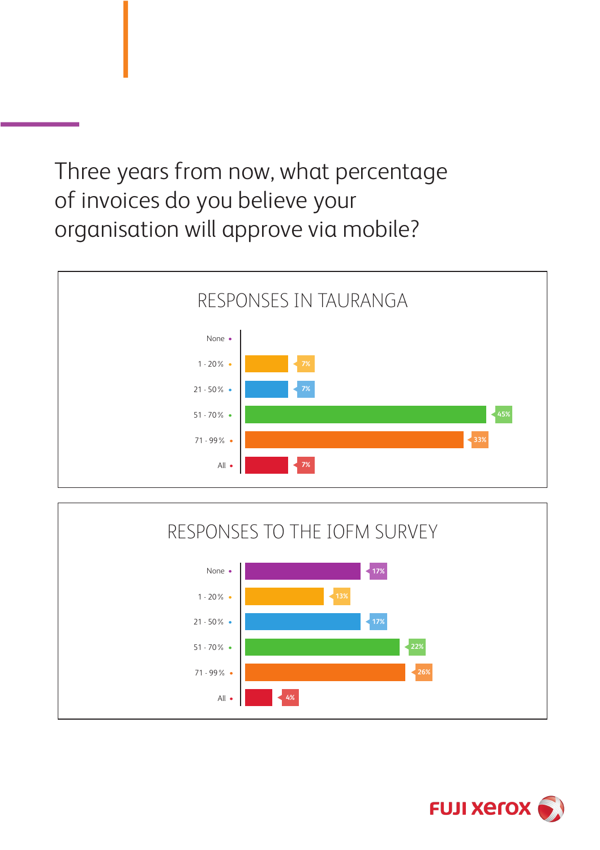Three years from now, what percentage of invoices do you believe your organisation will approve via mobile?





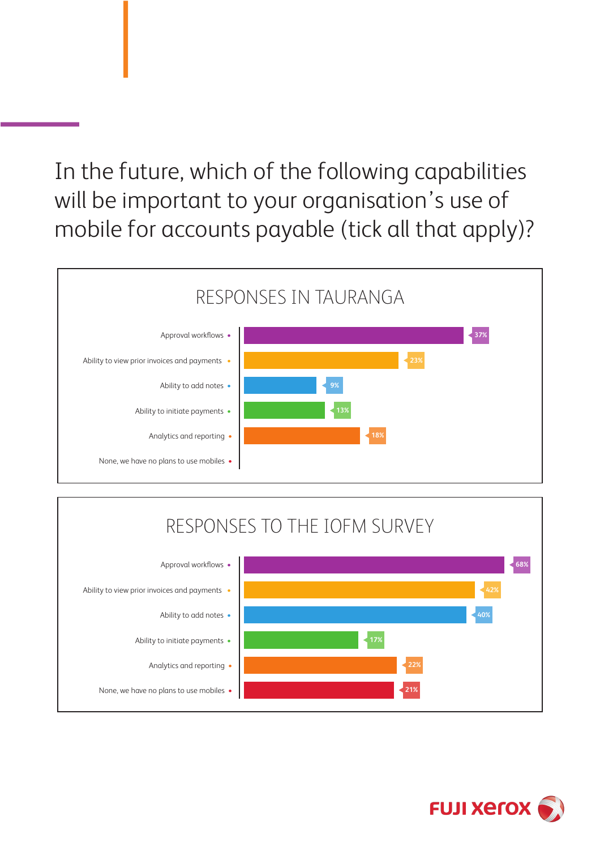In the future, which of the following capabilities will be important to your organisation's use of mobile for accounts payable (tick all that apply)?



### RESPONSES TO THE IOFM SURVEY



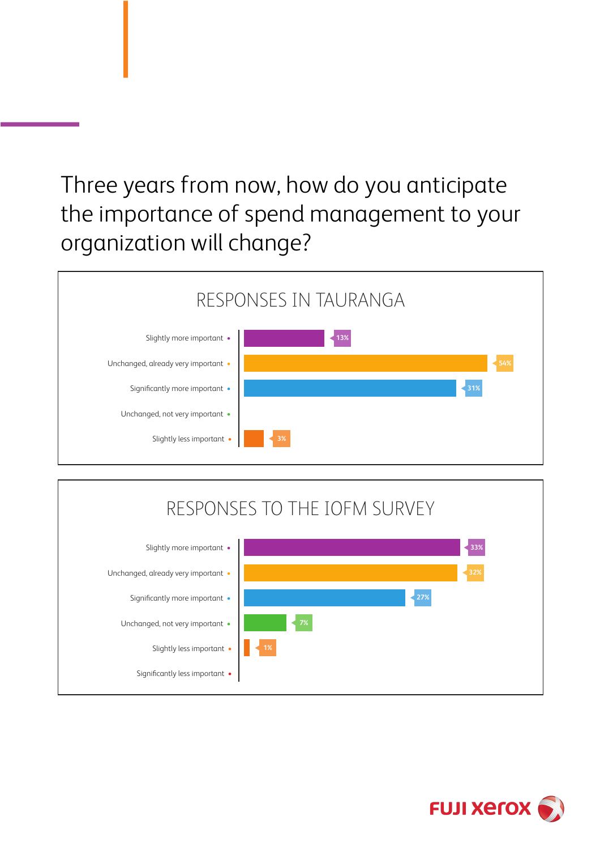## Three years from now, how do you anticipate the importance of spend management to your organization will change?